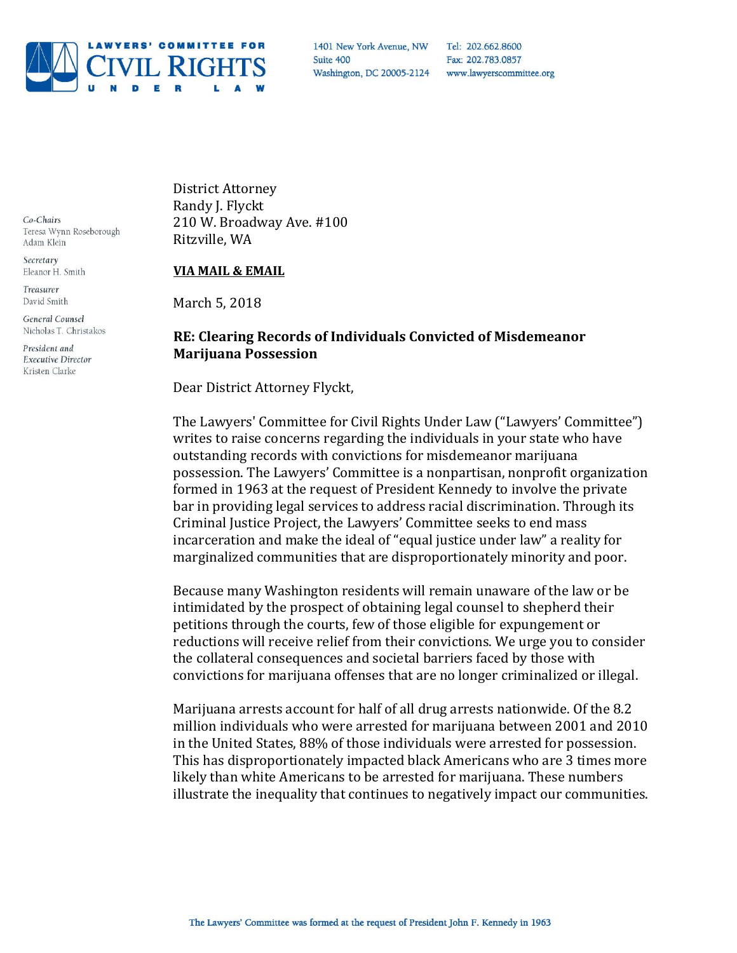

Tel: 202.662.8600 Fax: 202.783.0857

Co-Chairs Teresa Wynn Roseborough Adam Klein

Secretary Eleanor H. Smith

Treasurer David Smith

General Counsel Nicholas T. Christakos

President and **Executive Director** Kristen Clarke

District Attorney Randy J. Flyckt 210 W. Broadway Ave. #100 Ritzville, WA

## **VIA MAIL & EMAIL**

March 5, 2018

## **RE: Clearing Records of Individuals Convicted of Misdemeanor Marijuana Possession**

Dear District Attorney Flyckt,

The Lawyers' Committee for Civil Rights Under Law ("Lawyers' Committee") writes to raise concerns regarding the individuals in your state who have outstanding records with convictions for misdemeanor marijuana possession. The Lawyers' Committee is a nonpartisan, nonprofit organization formed in 1963 at the request of President Kennedy to involve the private bar in providing legal services to address racial discrimination. Through its Criminal Justice Project, the Lawyers' Committee seeks to end mass incarceration and make the ideal of "equal justice under law" a reality for marginalized communities that are disproportionately minority and poor.

Because many Washington residents will remain unaware of the law or be intimidated by the prospect of obtaining legal counsel to shepherd their petitions through the courts, few of those eligible for expungement or reductions will receive relief from their convictions. We urge you to consider the collateral consequences and societal barriers faced by those with convictions for marijuana offenses that are no longer criminalized or illegal.

Marijuana arrests account for half of all drug arrests nationwide. Of the 8.2 million individuals who were arrested for marijuana between 2001 and 2010 in the United States, 88% of those individuals were arrested for possession. This has disproportionately impacted black Americans who are 3 times more likely than white Americans to be arrested for marijuana. These numbers illustrate the inequality that continues to negatively impact our communities.